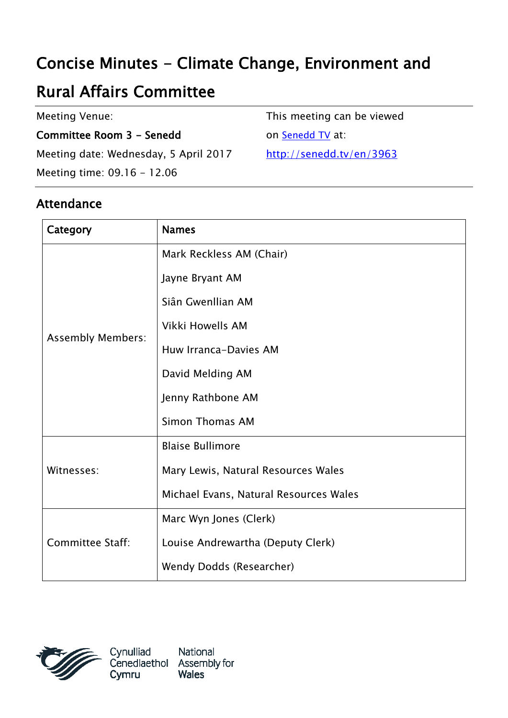# Concise Minutes - Climate Change, Environment and

# Rural Affairs Committee

Meeting Venue:

Committee Room 3 - Senedd

Meeting date: Wednesday, 5 April 2017

Meeting time: 09.16 - 12.06

Attendance

Category | Names Assembly Members: Mark Reckless AM (Chair) Jayne Bryant AM Siân Gwenllian AM Vikki Howells AM Huw Irranca-Davies AM David Melding AM Jenny Rathbone AM Simon Thomas AM Witnesses: Blaise Bullimore Mary Lewis, Natural Resources Wales Michael Evans, Natural Resources Wales Committee Staff: Marc Wyn Jones (Clerk) Louise Andrewartha (Deputy Clerk) Wendy Dodds (Researcher)



This meeting can be viewed

on [Senedd TV](http://senedd.tv/) at:

<http://senedd.tv/en/3963>